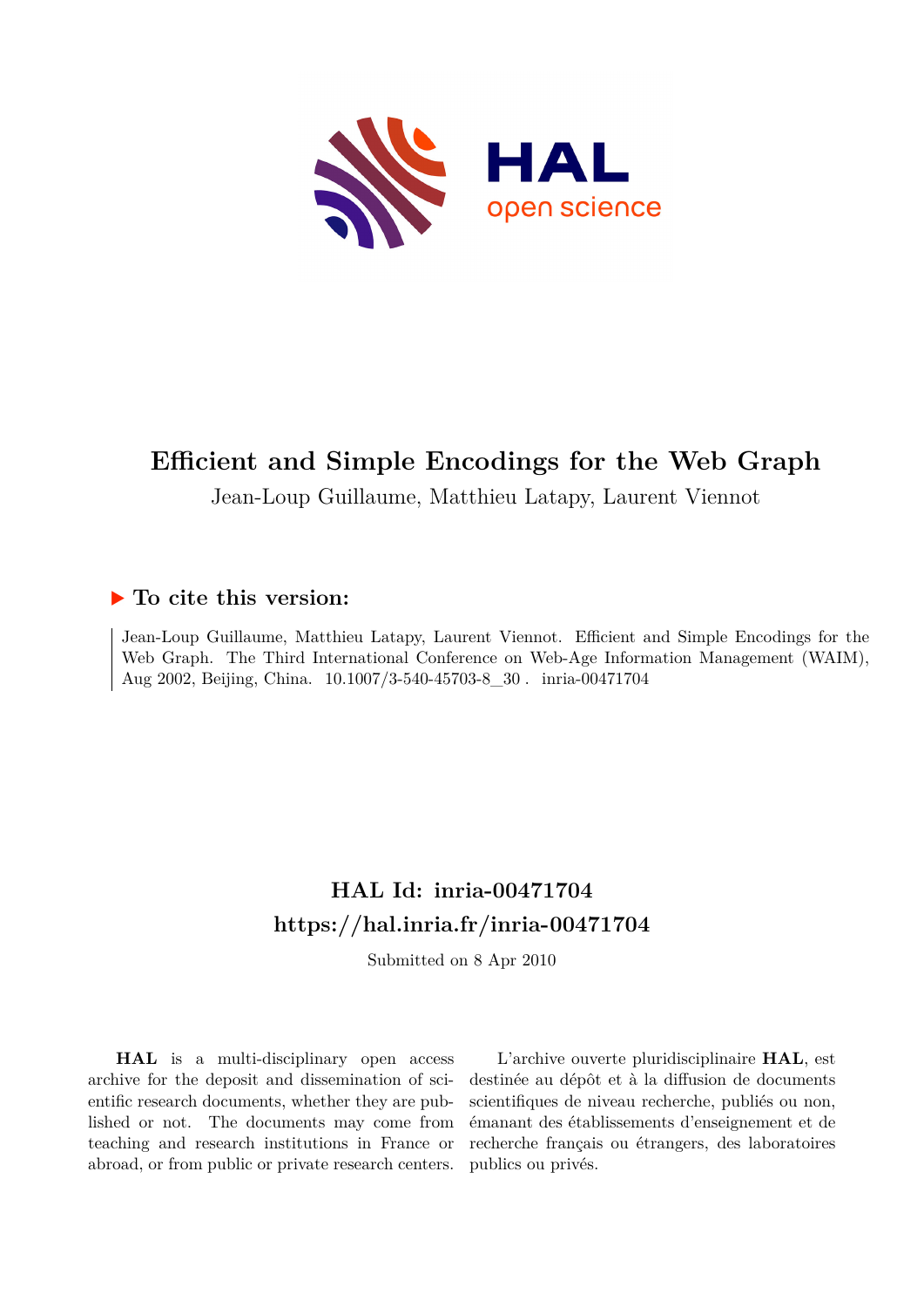

## **Efficient and Simple Encodings for the Web Graph**

Jean-Loup Guillaume, Matthieu Latapy, Laurent Viennot

### **To cite this version:**

Jean-Loup Guillaume, Matthieu Latapy, Laurent Viennot. Efficient and Simple Encodings for the Web Graph. The Third International Conference on Web-Age Information Management (WAIM), Aug 2002, Beijing, China.  $10.1007/3-540-45703-8$  30 inria-00471704

## **HAL Id: inria-00471704 <https://hal.inria.fr/inria-00471704>**

Submitted on 8 Apr 2010

**HAL** is a multi-disciplinary open access archive for the deposit and dissemination of scientific research documents, whether they are published or not. The documents may come from teaching and research institutions in France or abroad, or from public or private research centers.

L'archive ouverte pluridisciplinaire **HAL**, est destinée au dépôt et à la diffusion de documents scientifiques de niveau recherche, publiés ou non, émanant des établissements d'enseignement et de recherche français ou étrangers, des laboratoires publics ou privés.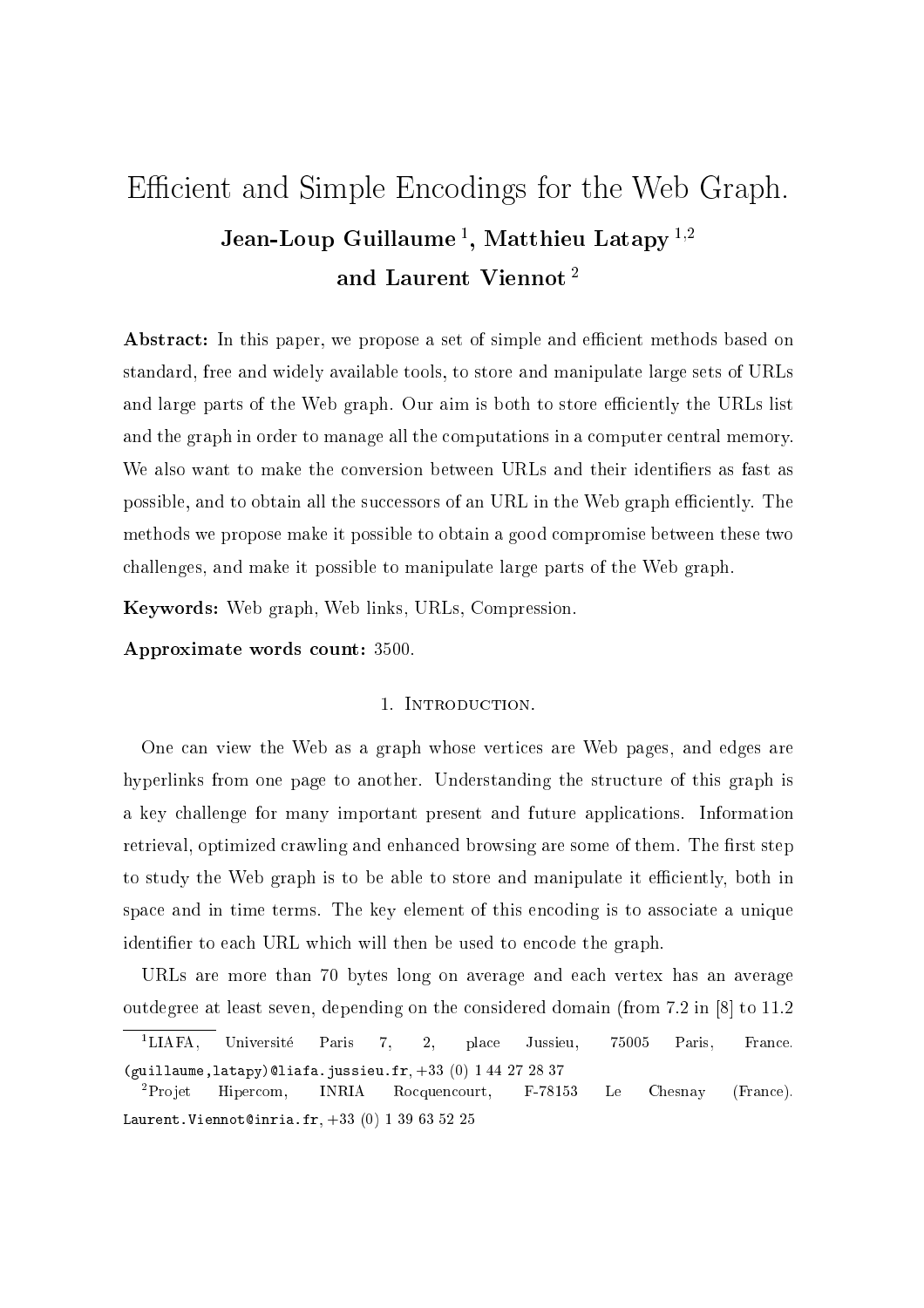# EÆ
ient and Simple En
odings for the Web Graph. Jean-Loup Guillaume , Matthieu Latapy <sup>- , -</sup> and Laurent Viennot<sup>2</sup>

**Abstract:** In this paper, we propose a set of simple and efficient methods based on standard, free and widely available tools, to store and manipulate large sets of URLs and large parts of the Web graph. Our aim is both to store efficiently the URLs list and the graph in order to manage all the omputations in a omputer entral memory. We also want to make the conversion between URLs and their identifiers as fast as possible, and to obtain all the successors of an URL in the Web graph efficiently. The methods we propose make it possible to obtain a good ompromise between these two hallenges, and make it possible to manipulate large parts of the Web graph.

Keywords: Web graph, Web links, URLs, Compression.

Approximate words count: 3500.

#### 1. INTRODUCTION.

One an view the Web as a graph whose verti
es are Web pages, and edges are hyperlinks from one page to another. Understanding the structure of this graph is a key challenge for many important present and future applications. Information retrieval, optimized crawling and enhanced browsing are some of them. The first step to study the Web graph is to be able to store and manipulate it efficiently, both in space and in time terms. The key element of this encoding is to associate a unique identifier to each URL which will then be used to encode the graph.

URLs are more than 70 bytes long on average and each vertex has an average outdegree at least seven, depending on the considered domain (from  $7.2$  in  $[8]$  to  $11.2$ "LIAFA, Universite Paris 7, 2, place Jussieu, 75005 Paris, France. (guillaume, latapy)@liafa.jussieu.fr,  $+33$  (0) 1 44 27 28 37

<sup>&</sup>lt;sup>2</sup>Projet Hipercom, INRIA Rocquencourt, F-78153 Le Chesnay (France). Laurent.Viennot@inria.fr,  $+33$  (0) 1 39 63 52 25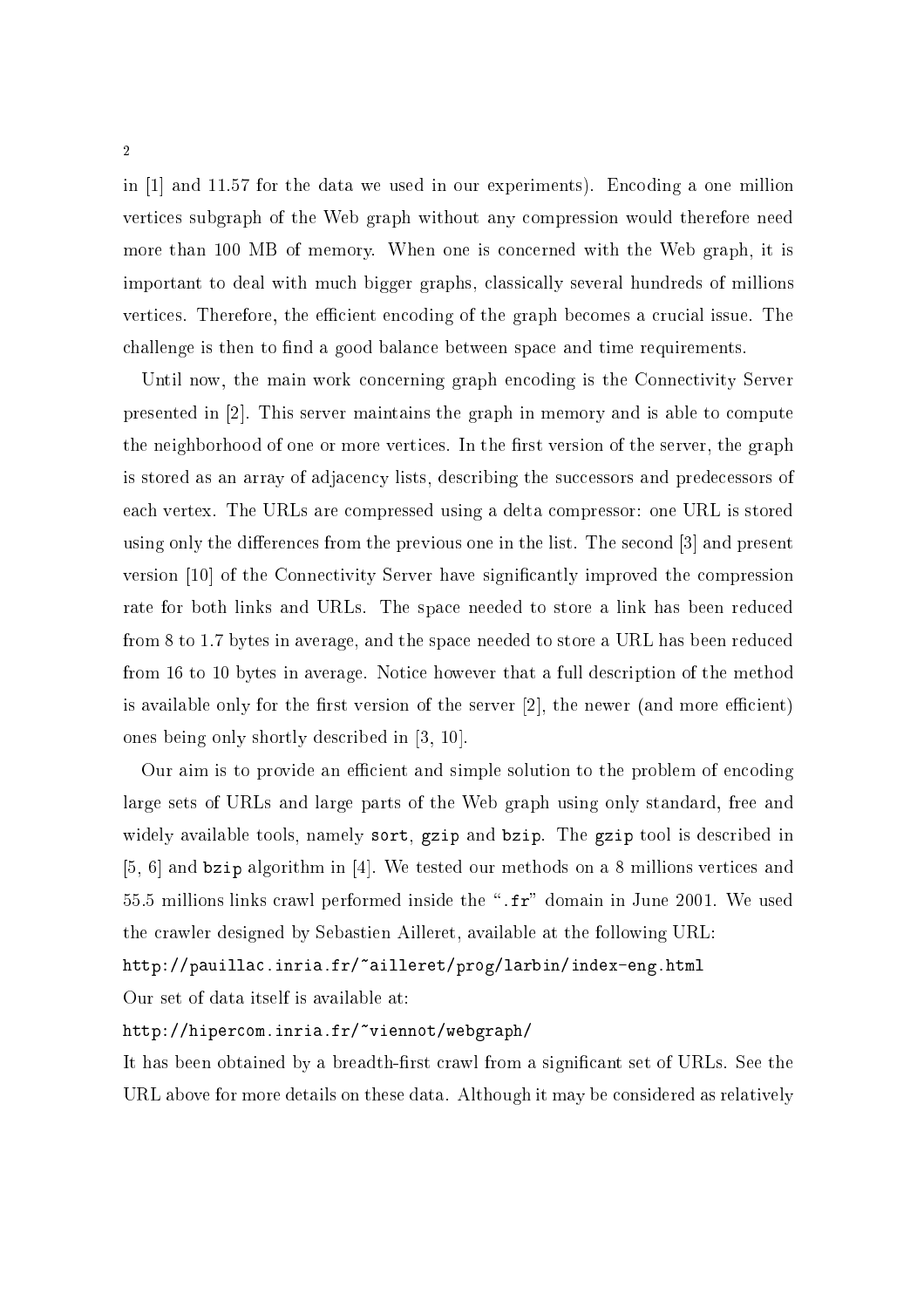in  $[1]$  and 11.57 for the data we used in our experiments). Encoding a one million verti
es subgraph of the Web graph without any ompression would therefore need more than 100 MB of memory. When one is concerned with the Web graph, it is important to deal with mu
h bigger graphs, lassi
ally several hundreds of millions vertices. Therefore, the efficient encoding of the graph becomes a crucial issue. The challenge is then to find a good balance between space and time requirements.

Until now, the main work concerning graph encoding is the Connectivity Server presented in  $[2]$ . This server maintains the graph in memory and is able to compute the neighborhood of one or more vertices. In the first version of the server, the graph is stored as an array of adjacency lists, describing the successors and predecessors of ea
h vertex. The URLs are ompressed using a delta ompressor: one URL is stored using only the differences from the previous one in the list. The second [3] and present version [10] of the Connectivity Server have significantly improved the compression rate for both links and URLs. The spa
e needed to store a link has been redu
ed from 8 to 1.7 bytes in average, and the space needed to store a URL has been reduced from 16 to 10 bytes in average. Noti
e however that a full des
ription of the method is available only for the first version of the server  $[2]$ , the newer (and more efficient) ones being only shortly described in  $[3, 10]$ .

Our aim is to provide an efficient and simple solution to the problem of encoding large sets of URLs and large parts of the Web graph using only standard, free and widely available tools, namely sort, gzip and bzip. The gzip tool is described in [5, 6] and bzip algorithm in [4]. We tested our methods on a 8 millions vertices and 55.5 millions links crawl performed inside the ".fr" domain in June 2001. We used the rawler designed by Sebastien Ailleret, available at the following URL:

http://pauillac.inria.fr/~ailleret/prog/larbin/index-eng.html

Our set of data itself is available at:

#### http://hiper
om.inria.fr/~viennot/webgraph/

It has been obtained by a breadth-first crawl from a significant set of URLs. See the URL above for more details on these data. Although it may be considered as relatively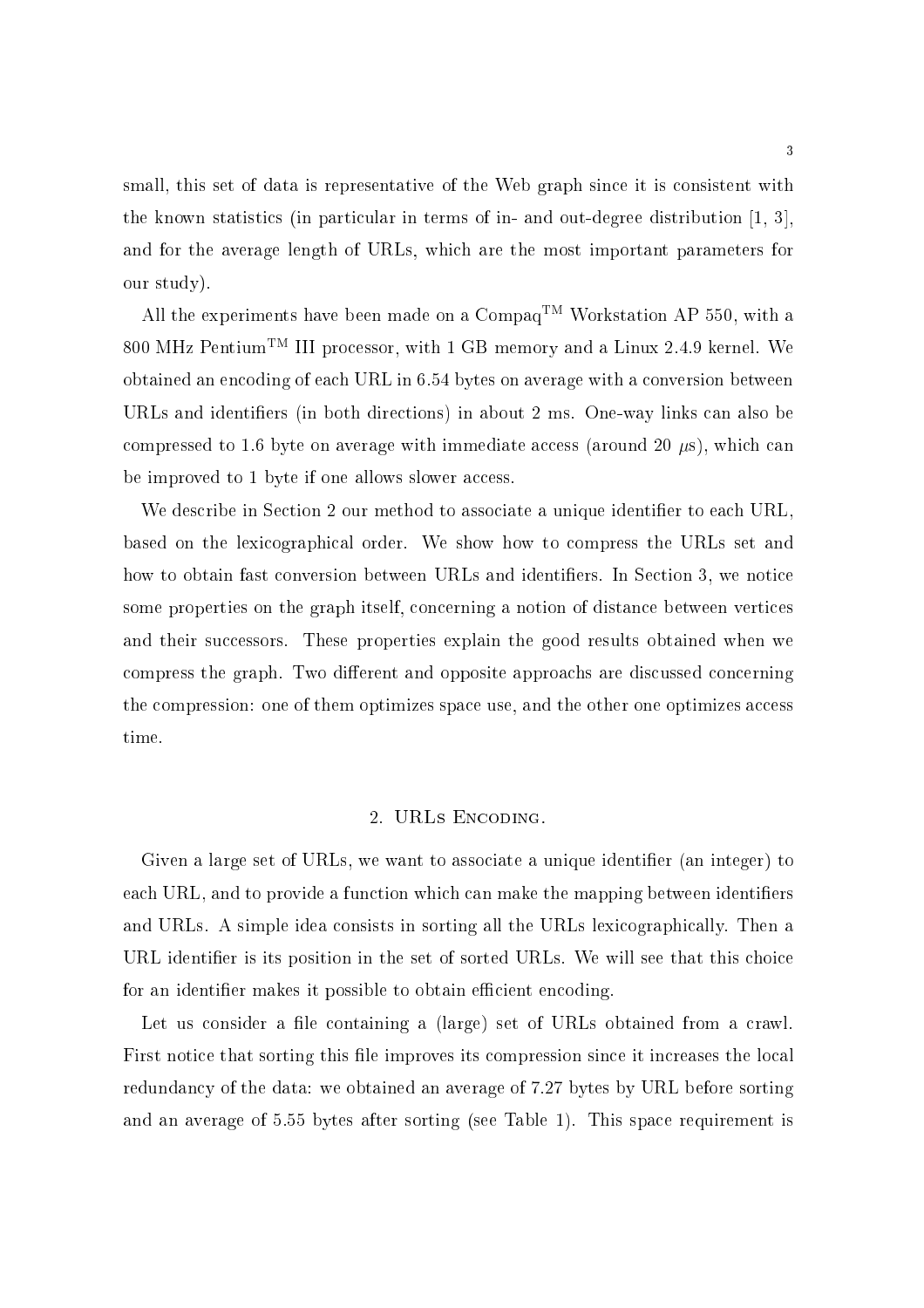small, this set of data is representative of the Web graph since it is consistent with the known statistics (in particular in terms of in- and out-degree distribution  $[1, 3]$ , and for the average length of URLs, whi
h are the most important parameters for our study).

All the experiments have been made on a  $Compa<sup>TM</sup>$  Workstation AP 550, with a 800 MHz PentiumTM III pro
essor, with 1 GB memory and a Linux 2.4.9 kernel. We obtained an en
oding of ea
h URL in 6.54 bytes on average with a onversion between URLs and identifiers (in both directions) in about 2 ms. One-way links can also be compressed to 1.6 byte on average with immediate access (around 20  $\mu$ s), which can be improved to 1 byte if one allows slower access.

We describe in Section 2 our method to associate a unique identifier to each URL. based on the lexi
ographi
al order. We show how to ompress the URLs set and how to obtain fast conversion between URLs and identifiers. In Section 3, we notice some properties on the graph itself, concerning a notion of distance between vertices and their successors. These properties explain the good results obtained when we compress the graph. Two different and opposite approachs are discussed concerning the compression: one of them optimizes space use, and the other one optimizes access time.

#### 2. URLS ENCODING.

Given a large set of URLs, we want to associate a unique identifier (an integer) to each URL, and to provide a function which can make the mapping between identifiers and URLs. A simple idea consists in sorting all the URLs lexicographically. Then a URL identifier is its position in the set of sorted URLs. We will see that this choice for an identifier makes it possible to obtain efficient encoding.

Let us consider a file containing a (large) set of URLs obtained from a crawl. First notice that sorting this file improves its compression since it increases the local redundan
y of the data: we obtained an average of 7.27 bytes by URL before sorting and an average of 5.55 bytes after sorting (see Table 1). This spa
e requirement is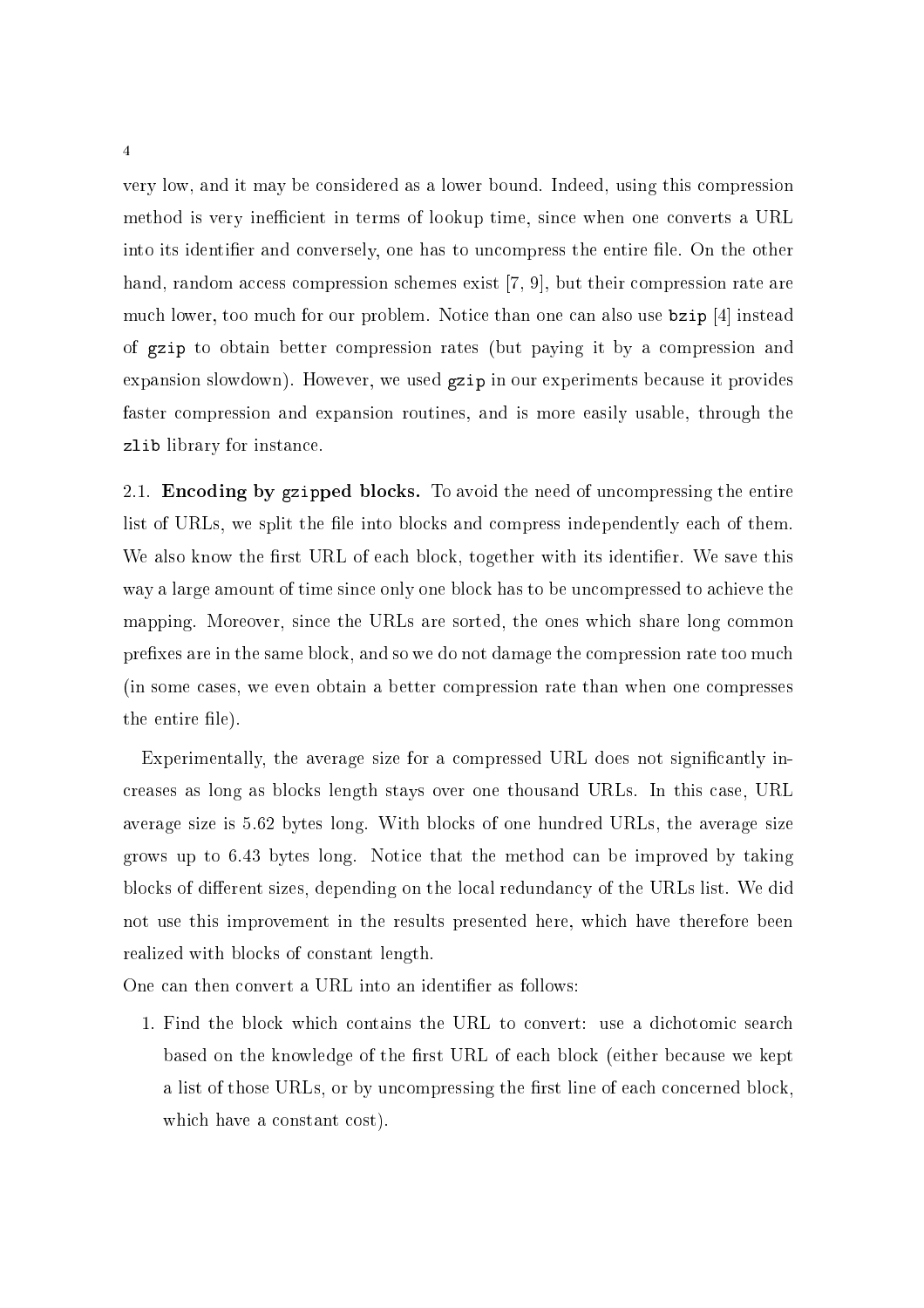very low, and it may be onsidered as a lower bound. Indeed, using this ompression method is very inefficient in terms of lookup time, since when one converts a URL into its identifier and conversely, one has to uncompress the entire file. On the other hand, random access compression schemes exist [7, 9], but their compression rate are much lower, too much for our problem. Notice than one can also use  $\alpha$  is [4] instead of gzip to obtain better ompression rates (but paying it by a ompression and expansion slowdown). However, we used gzip in our experiments because it provides faster ompression and expansion routines, and is more easily usable, through the zlib library for instan
e.

2.1. **Encoding by gzipped blocks.** To avoid the need of uncompressing the entire list of URLs, we split the file into blocks and compress independently each of them. We also know the first URL of each block, together with its identifier. We save this way a large amount of time since only one block has to be uncompressed to achieve the mapping. Moreover, since the URLs are sorted, the ones which share long common prefixes are in the same block, and so we do not damage the compression rate too much (in some ases, we even obtain a better ompression rate than when one ompresses the entire file).

Experimentally, the average size for a compressed URL does not significantly inreases as long as blo
ks length stays over one thousand URLs. In this ase, URL average size is 5.62 bytes long. With blo
ks of one hundred URLs, the average size grows up to 6.43 bytes long. Notice that the method can be improved by taking blocks of different sizes, depending on the local redundancy of the URLs list. We did not use this improvement in the results presented here, whi
h have therefore been realized with blo
ks of onstant length.

One can then convert a URL into an identifier as follows:

1. Find the block which contains the URL to convert: use a dichotomic search based on the knowledge of the first URL of each block (either because we kept a list of those URLs, or by uncompressing the first line of each concerned block, which have a constant cost).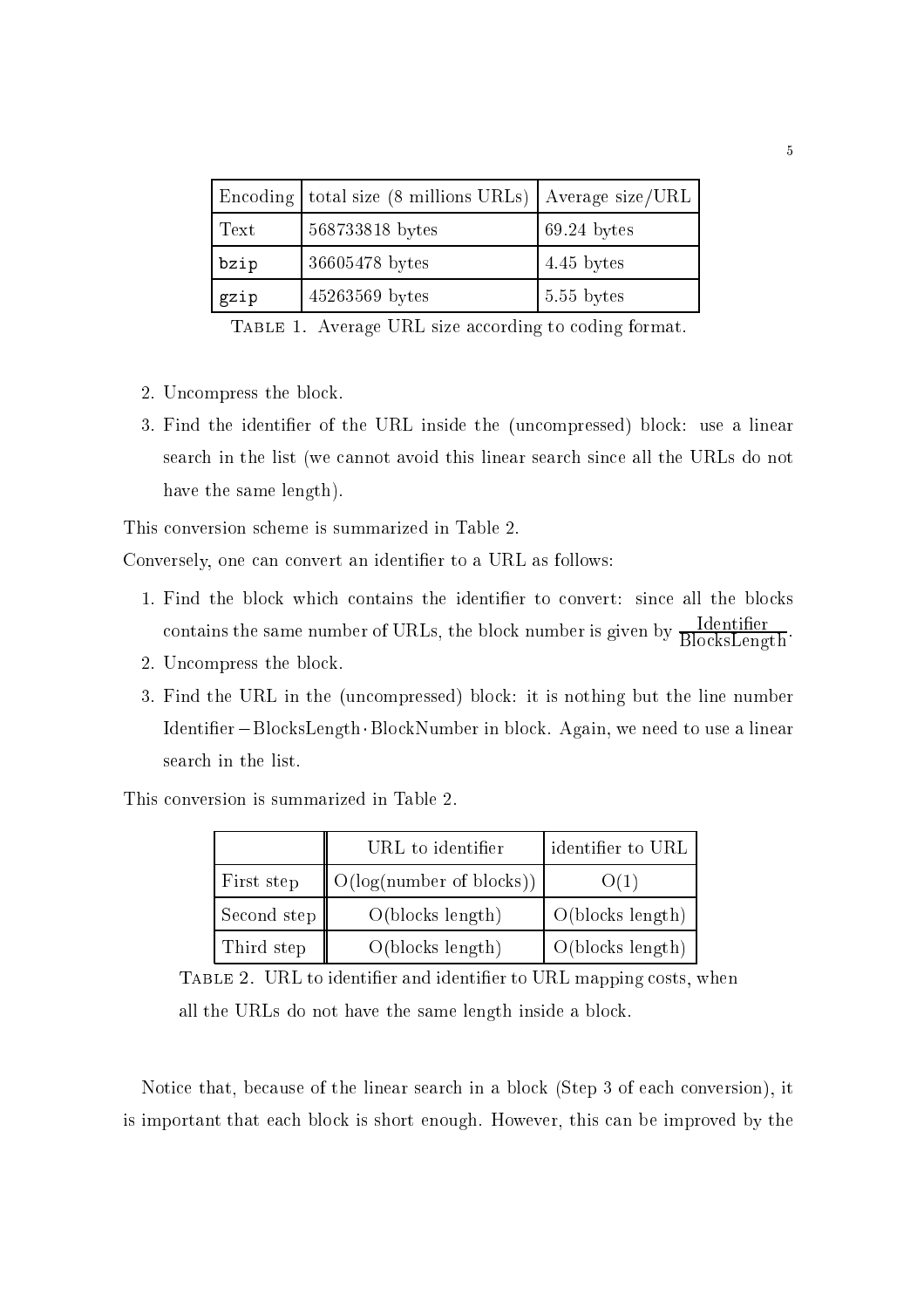|      | Encoding   total size (8 millions URLs)   Average size/URL |               |
|------|------------------------------------------------------------|---------------|
| Text | 568733818 bytes                                            | $69.24$ bytes |
| bzip | 36605478 bytes                                             | $4.45$ bytes  |
| gzip | 45263569 bytes                                             | 5.55 bytes    |

Table 1. Average URL size a

ording to oding format.

- 2. Un
ompress the blo
k.
- 3. Find the identier of the URL inside the (un
ompressed) blo
k: use a linear sear
h in the list (we annot avoid this linear sear
h sin
e all the URLs do not have the same length).

This onversion s
heme is summarized in Table 2.

Conversely, one can convert an identifier to a URL as follows:

- 1. Find the block which contains the identifier to convert: since all the blocks contains the same number of URLs, the block number is given by  $\overline{\rm BlocksLength}$ .
- 2. Un
ompress the blo
k.
- 3. Find the URL in the (un
ompressed) blo
k: it is nothing but the line number Identifier – BlocksLength BlockNumber in block. Again, we need to use a linear sear
h in the list.

This onversion is summarized in Table 2.

|             | URL to identifier                    | identifier to URL           |
|-------------|--------------------------------------|-----------------------------|
| First step  | $\parallel$ O(log(number of blocks)) | O(1)                        |
| Second step | O(blocks length)                     | $\bigcirc$ O(blocks length) |
| Third step  | O(blocks length)                     | O(blocks length)            |

Table 2. URL to identier and identier to URL mapping osts, when all the URLs do not have the same length inside a blo
k.

Notice that, because of the linear search in a block (Step 3 of each conversion), it is important that ea
h blo
k is short enough. However, this an be improved by the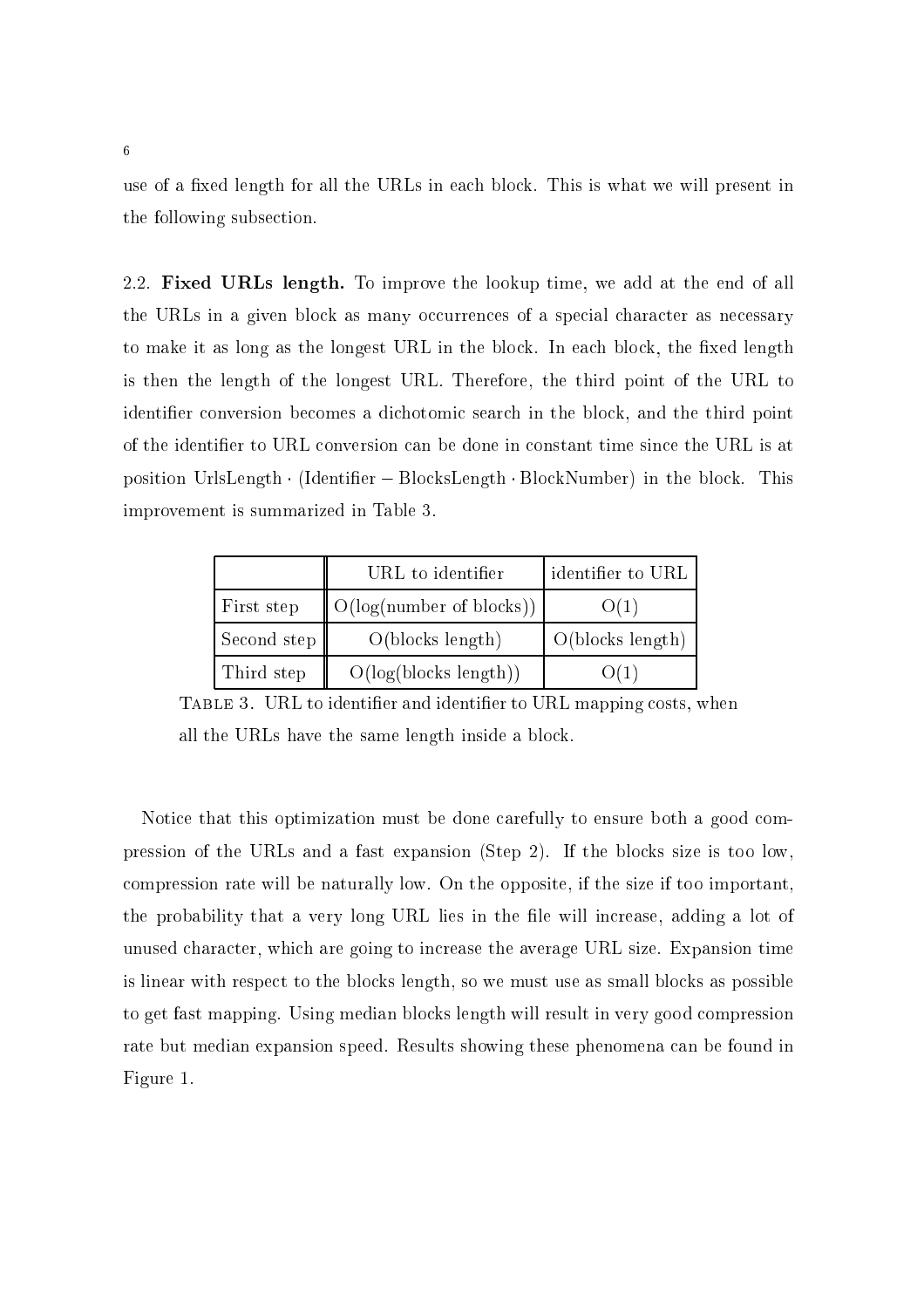use of a fixed length for all the URLs in each block. This is what we will present in the following subse
tion.

2.2. Fixed URLs length. To improve the lookup time, we add at the end of all the URLs in a given block as many occurrences of a special character as necessary to make it as long as the longest URL in the block. In each block, the fixed length is then the length of the longest URL. Therefore, the third point of the URL to identifier conversion becomes a dichotomic search in the block, and the third point of the identifier to URL conversion can be done in constant time since the URL is at position UrlsLength (Identifier - BlocksLength BlockNumber) in the block. This improvement is summarized in Table 3.

|             | URL to identifier                    | identifier to URL |
|-------------|--------------------------------------|-------------------|
| First step  | $\parallel$ O(log(number of blocks)) | O(1)              |
| Second step | O(blocks length)                     | O(blocks length)  |
| Third step  | O(log(blocks length))                | O(1)              |

Table 3. URL to identier and identier to URL mapping osts, when all the URLs have the same length inside a blo
k.

Notice that this optimization must be done carefully to ensure both a good compression of the URLs and a fast expansion (Step 2). If the blo
ks size is too low, ompression rate will be naturally low. On the opposite, if the size if too important, the probability that a very long URL lies in the file will increase, adding a lot of unused character, which are going to increase the average URL size. Expansion time is linear with respe
t to the blo
ks length, so we must use as small blo
ks as possible to get fast mapping. Using median blo
ks length will result in very good ompression rate but median expansion speed. Results showing these phenomena an be found in Figure 1.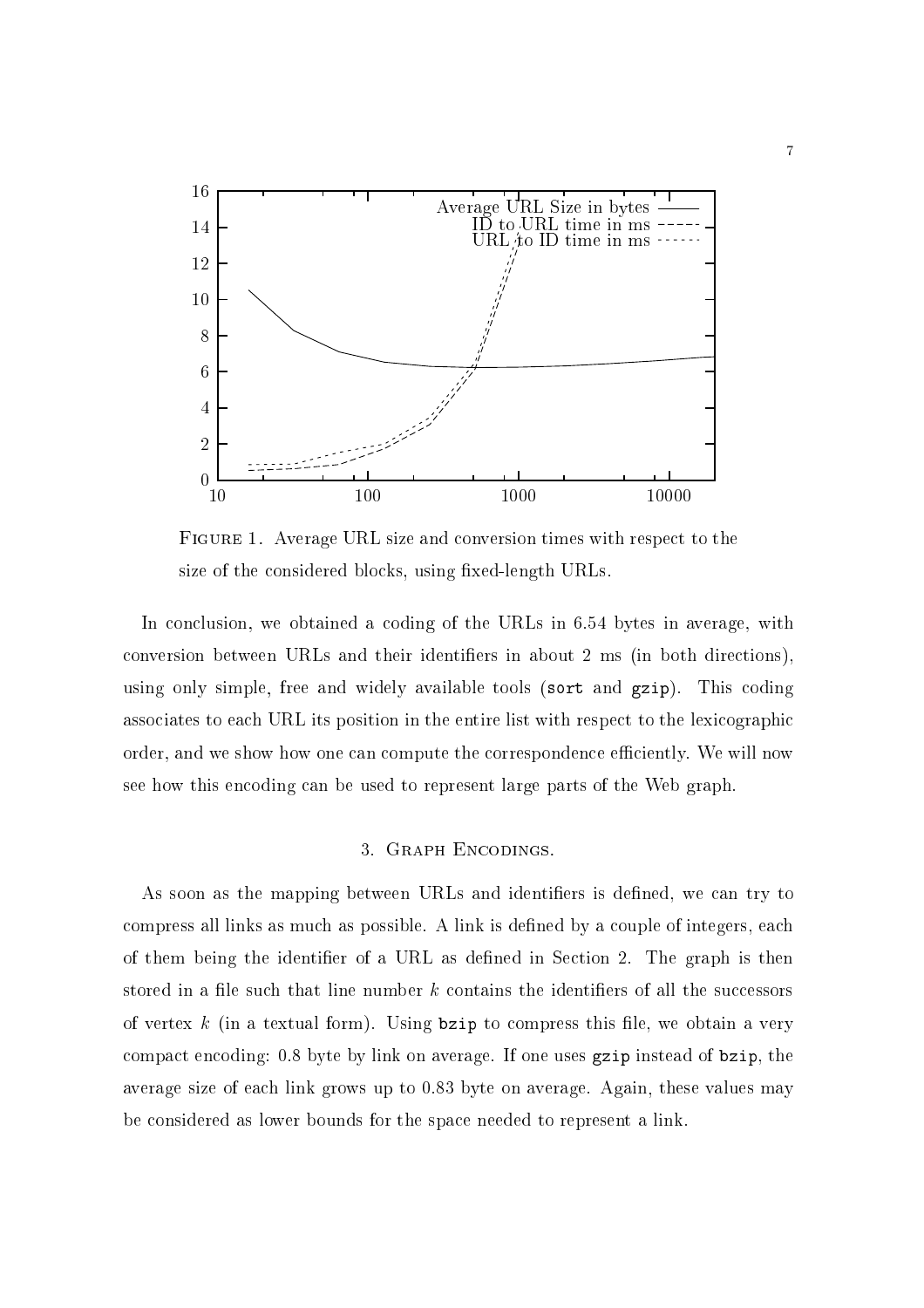

Figure 1. Average URL size and onversion times with respe
t to the size of the considered blocks, using fixed-length URLs.

In conclusion, we obtained a coding of the URLs in 6.54 bytes in average, with conversion between URLs and their identifiers in about 2 ms (in both directions), using only simple, free and widely available tools (sort and gzip). This coding associates to each URL its position in the entire list with respect to the lexicographic order, and we show how one can compute the correspondence efficiently. We will now see how this en
oding an be used to represent large parts of the Web graph.

#### 3. GRAPH ENCODINGS.

As soon as the mapping between URLs and identifiers is defined, we can try to compress all links as much as possible. A link is defined by a couple of integers, each of them being the identifier of a URL as defined in Section 2. The graph is then stored in a file such that line number  $k$  contains the identifiers of all the successors of vertex  $k$  (in a textual form). Using  $bzip$  to compress this file, we obtain a very compact encoding: 0.8 byte by link on average. If one uses gzip instead of bzip, the average size of each link grows up to 0.83 byte on average. Again, these values may be onsidered as lower bounds for the spa
e needed to represent a link.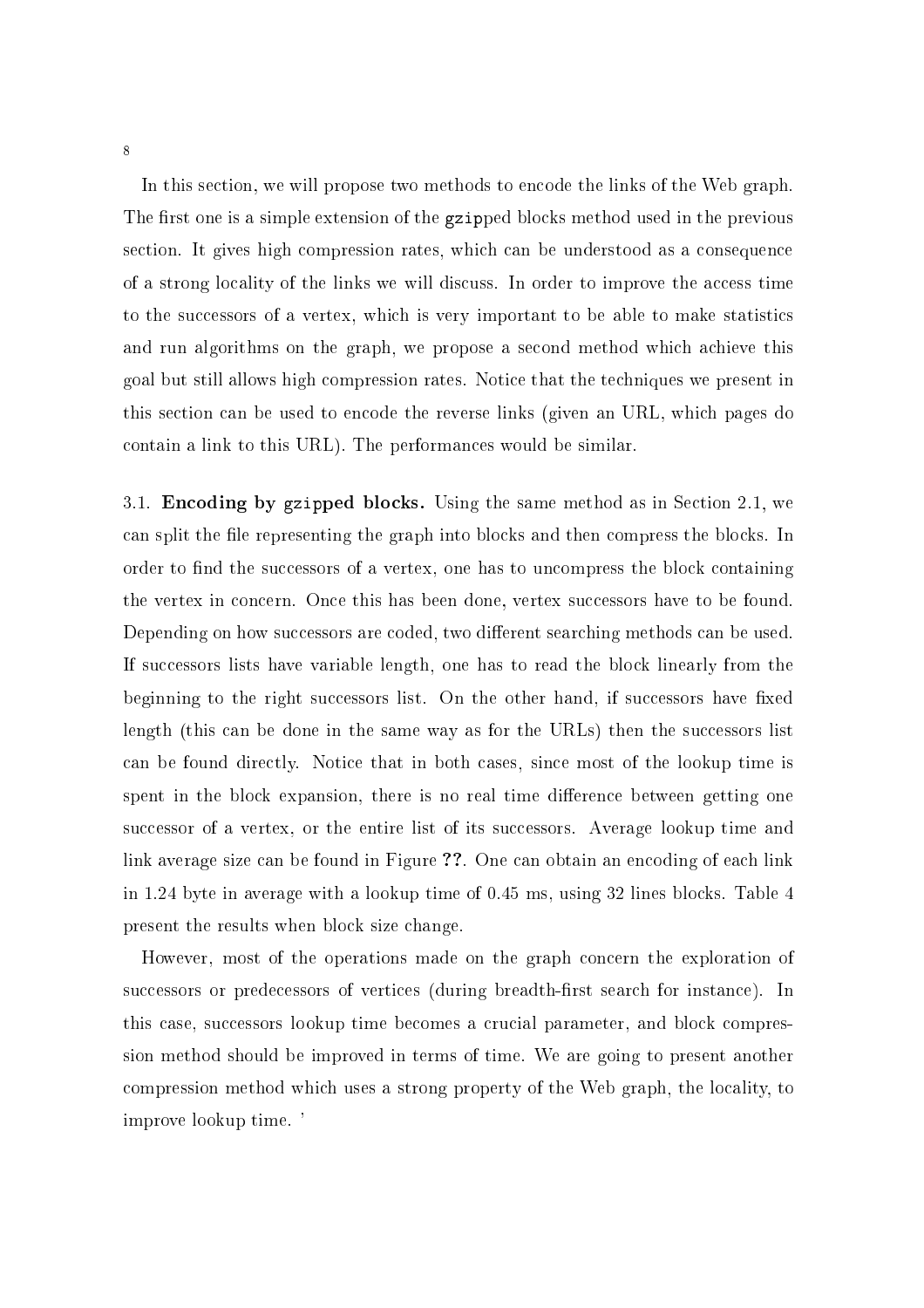In this section, we will propose two methods to encode the links of the Web graph. The first one is a simple extension of the gzipped blocks method used in the previous section. It gives high compression rates, which can be understood as a consequence of a strong locality of the links we will discuss. In order to improve the access time to the successors of a vertex, which is very important to be able to make statistics and run algorithms on the graph, we propose a second method which achieve this goal but still allows high ompression rates. Noti
e that the te
hniques we present in this se
tion an be used to en
ode the reverse links (given an URL, whi
h pages do ontain a link to this URL). The performan
es would be similar.

3.1. Encoding by gzipped blocks. Using the same method as in Section 2.1, we can split the file representing the graph into blocks and then compress the blocks. In order to find the successors of a vertex, one has to uncompress the block containing the vertex in concern. Once this has been done, vertex successors have to be found. Depending on how successors are coded, two different searching methods can be used. If successors lists have variable length, one has to read the block linearly from the beginning to the right successors list. On the other hand, if successors have fixed length (this can be done in the same way as for the URLs) then the successors list an be found dire
tly. Noti
e that in both ases, sin
e most of the lookup time is spent in the block expansion, there is no real time difference between getting one successor of a vertex, or the entire list of its successors. Average lookup time and link average size can be found in Figure ??. One can obtain an encoding of each link in 1.24 byte in average with a lookup time of 0.45 ms, using 32 lines blocks. Table 4 present the results when blo
k size hange.

However, most of the operations made on the graph concern the exploration of successors or predecessors of vertices (during breadth-first search for instance). In this case, successors lookup time becomes a crucial parameter, and block compression method should be improved in terms of time. We are going to present another compression method which uses a strong property of the Web graph, the locality, to improve lookup time. '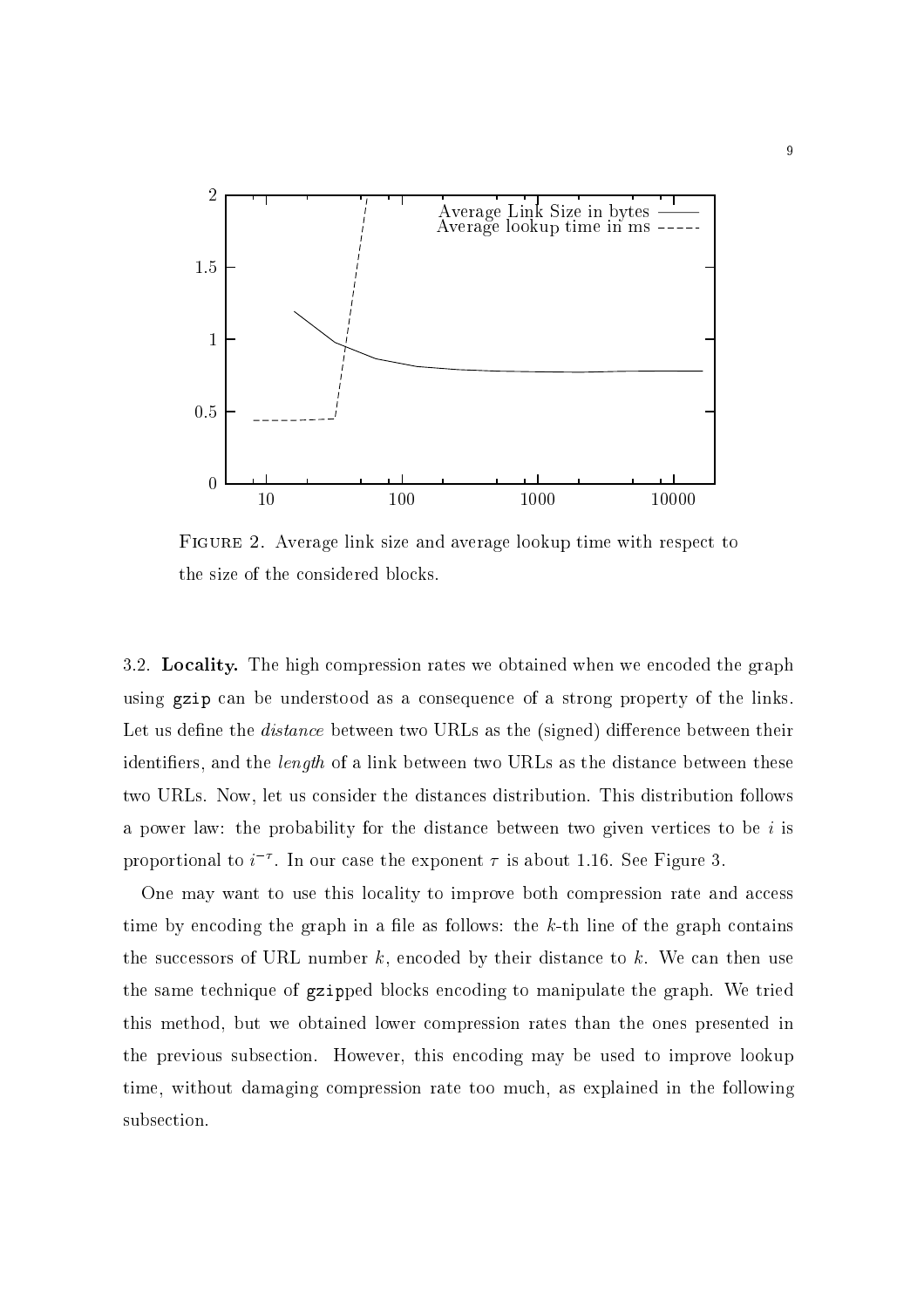

Figure 2. Average link size and average lookup time with respe
t to the size of the onsidered blo
ks.

3.2. Locality. The high compression rates we obtained when we encoded the graph using gzip an be understood as a onsequen
e of a strong property of the links. Let us define the *distance* between two URLs as the (signed) difference between their identifiers, and the *length* of a link between two URLs as the distance between these two URLs. Now, let us consider the distances distribution. This distribution follows a power law: the probability for the distance between two given vertices to be  $i$  is proportional to  $i$  , in our case the exponent  $\tau$  is about 1.10. See Figure 3.

One may want to use this locality to improve both compression rate and access time by encoding the graph in a file as follows: the  $k$ -th line of the graph contains the successors of URL number  $k$ , encoded by their distance to  $k$ . We can then use the same te
hnique of gzipped blo
ks en
oding to manipulate the graph. We tried this method, but we obtained lower ompression rates than the ones presented in the previous subse
tion. However, this en
oding may be used to improve lookup time, without damaging ompression rate too mu
h, as explained in the following subsection.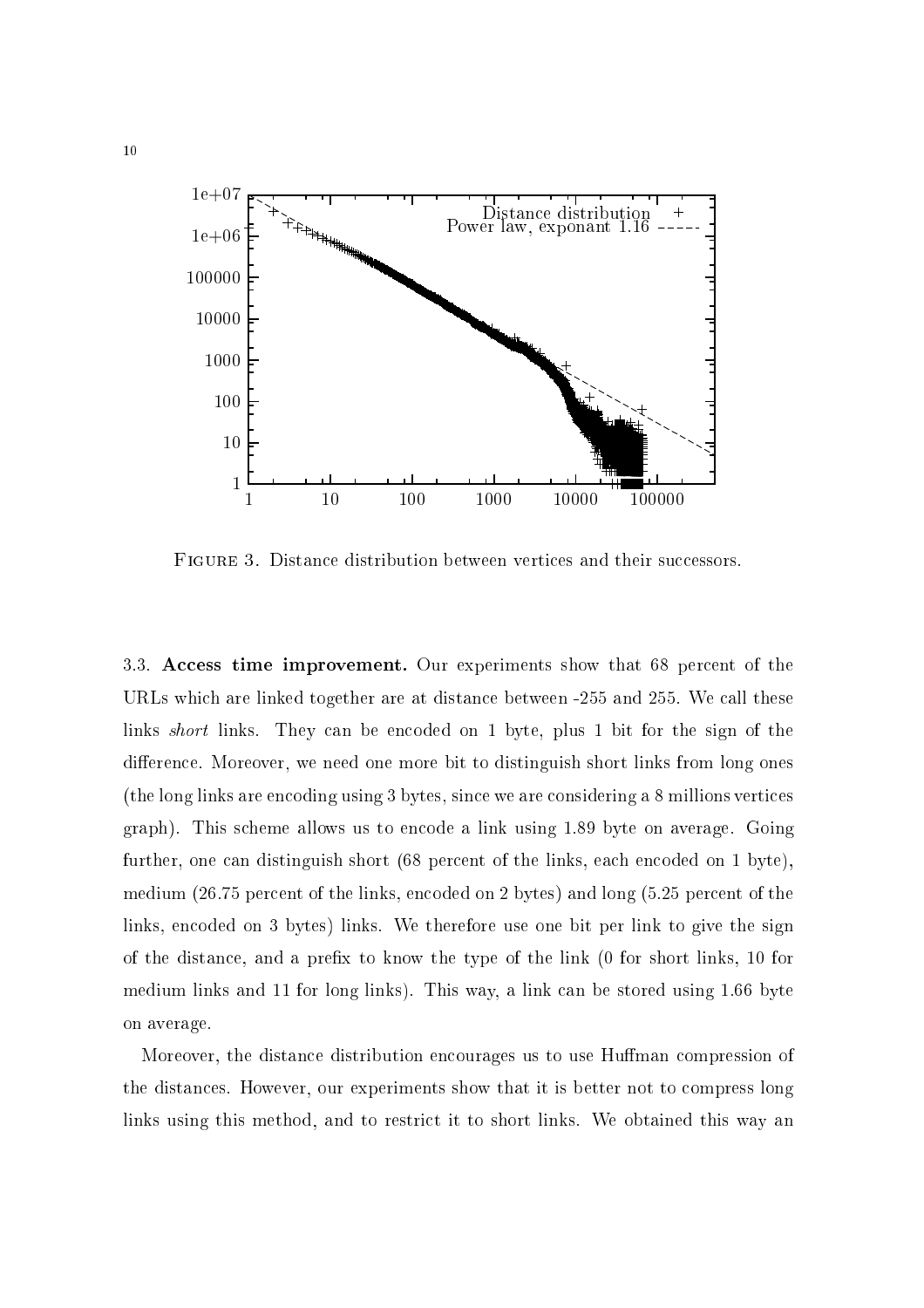

3.3. Access time improvement. Our experiments show that 68 percent of the URLs which are linked together are at distance between -255 and 255. We call these links *short* links. They can be encoded on 1 byte, plus 1 bit for the sign of the difference. Moreover, we need one more bit to distinguish short links from long ones (the long links are en
oding using 3 bytes, sin
e we are onsidering a 8 millions verti
es graph). This s
heme allows us to en
ode a link using 1.89 byte on average. Going further, one can distinguish short (68 percent of the links, each encoded on 1 byte), medium (26.75 percent of the links, encoded on 2 bytes) and long (5.25 percent of the links, encoded on 3 bytes) links. We therefore use one bit per link to give the sign of the distance, and a prefix to know the type of the link (0 for short links, 10 for medium links and 11 for long links). This way, a link an be stored using 1.66 byte on average.

Moreover, the distance distribution encourages us to use Huffman compression of the distan
es. However, our experiments show that it is better not to ompress long links using this method, and to restrict it to short links. We obtained this way an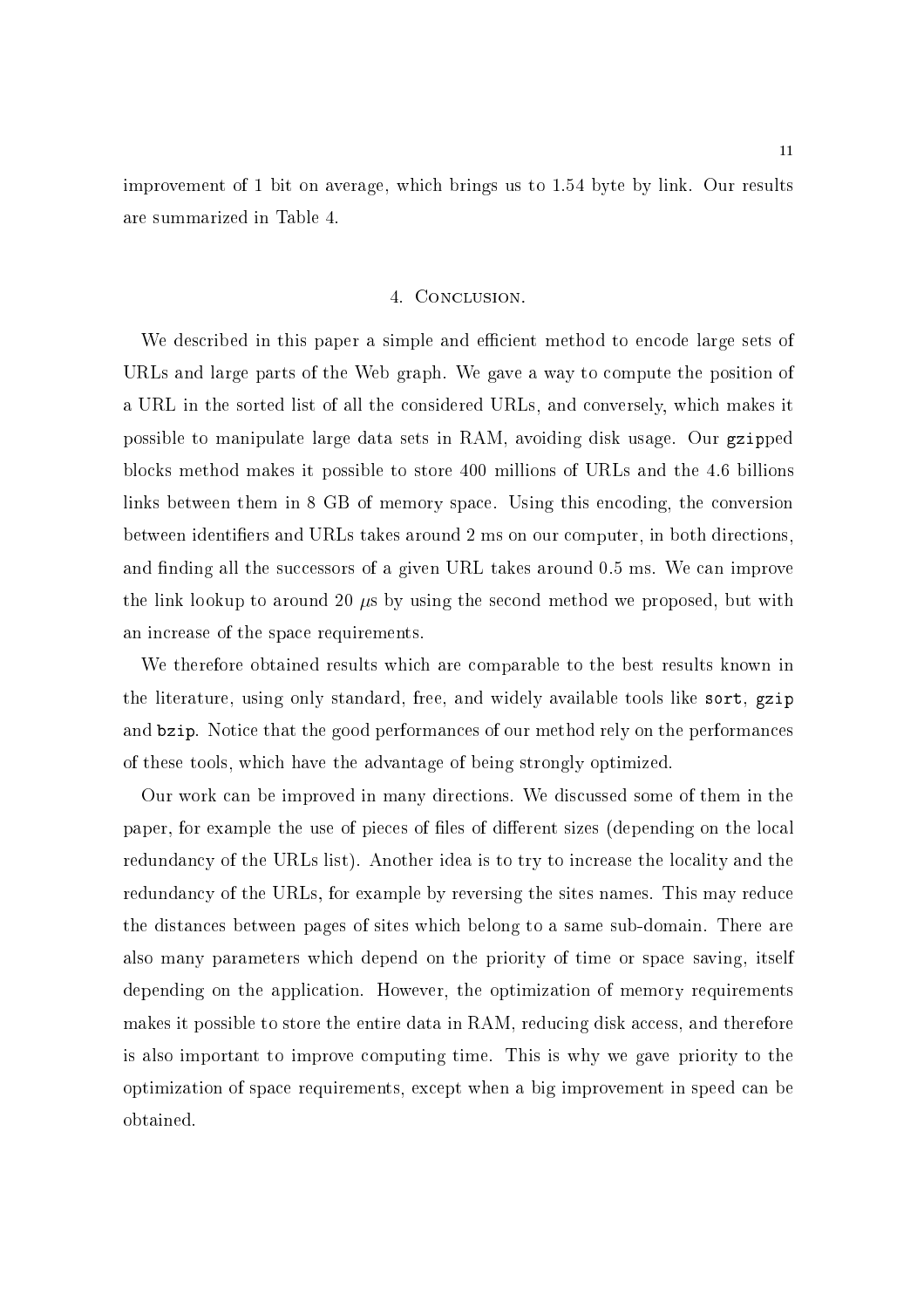improvement of 1 bit on average, whi
h brings us to 1.54 byte by link. Our results are summarized in Table 4.

#### 4. CONCLUSION.

We described in this paper a simple and efficient method to encode large sets of URLs and large parts of the Web graph. We gave a way to ompute the position of a URL in the sorted list of all the onsidered URLs, and onversely, whi
h makes it possible to manipulate large data sets in RAM, avoiding disk usage. Our gzipped blo
ks method makes it possible to store 400 millions of URLs and the 4.6 billions links between them in 8 GB of memory space. Using this encoding, the conversion between identifiers and URLs takes around 2 ms on our computer, in both directions, and finding all the successors of a given URL takes around 0.5 ms. We can improve the link lookup to around 20  $\mu$ s by using the second method we proposed, but with an in
rease of the spa
e requirements.

We therefore obtained results which are comparable to the best results known in the literature, using only standard, free, and widely available tools like sort, gzip and **bzip**. Notice that the good performances of our method rely on the performances of these tools, whi
h have the advantage of being strongly optimized.

Our work an be improved in many dire
tions. We dis
ussed some of them in the paper, for example the use of pieces of files of different sizes (depending on the local redundancy of the URLs list). Another idea is to try to increase the locality and the redundancy of the URLs, for example by reversing the sites names. This may reduce the distan
es between pages of sites whi
h belong to a same sub-domain. There are also many parameters whi
h depend on the priority of time or spa
e saving, itself depending on the application. However, the optimization of memory requirements makes it possible to store the entire data in RAM, reducing disk access, and therefore is also important to improve omputing time. This is why we gave priority to the optimization of spa
e requirements, ex
ept when a big improvement in speed an be obtained.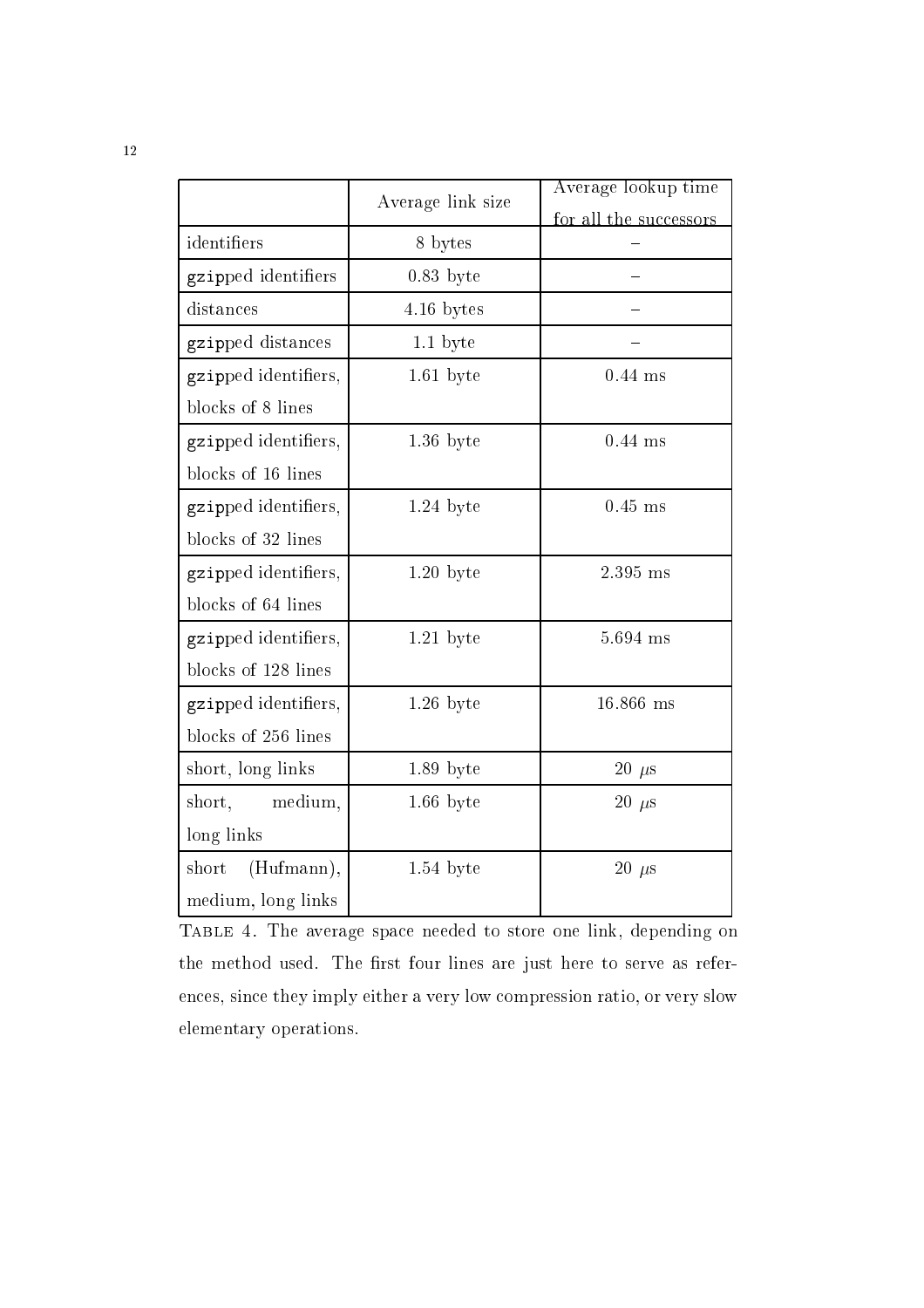|                        | Average link size | Average lookup time    |
|------------------------|-------------------|------------------------|
|                        |                   | for all the successors |
| identifiers            | 8 bytes           |                        |
| gzipped identifiers    | $0.83$ byte       |                        |
| distances              | $4.16$ bytes      |                        |
| gzipped distances      | $1.1~{\rm byte}$  |                        |
| gzipped identifiers,   | $1.61$ byte       | $0.44$ ms              |
| blocks of 8 lines      |                   |                        |
| gzipped identifiers,   | $1.36$ byte       | $0.44$ ms              |
| blocks of 16 lines     |                   |                        |
| gzipped identifiers,   | $1.24~$ byte      | $0.45$ ms              |
| blocks of 32 lines     |                   |                        |
| gzipped identifiers,   | $1.20~$ byte      | 2.395 ms               |
| blocks of 64 lines     |                   |                        |
| gzipped identifiers,   | $1.21~$ byte      | $5.694$ ms             |
| blocks of 128 lines    |                   |                        |
| gzipped identifiers,   | $1.26$ byte       | 16.866 ms              |
| blocks of 256 lines    |                   |                        |
| short, long links      | $1.89$ byte       | $20 \ \mu s$           |
| short,<br>medium,      | $1.66$ byte       | $20 \ \mu s$           |
| long links             |                   |                        |
| $(Hufmann)$ ,<br>short | $1.54$ byte       | $20 \ \mu s$           |
| medium, long links     |                   |                        |

Table 4. The average spa
e needed to store one link, depending on the method used. The first four lines are just here to serve as references, since they imply either a very low compression ratio, or very slow elementary operations.